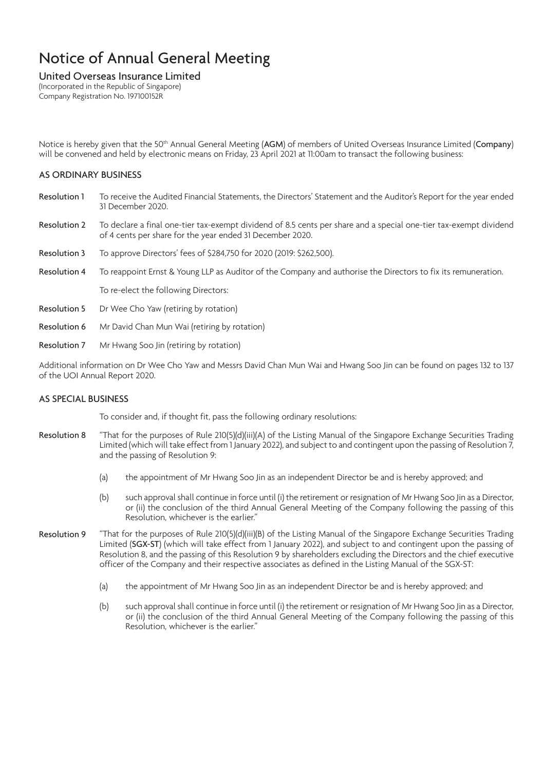#### United Overseas Insurance Limited

(Incorporated in the Republic of Singapore) Company Registration No. 197100152R

Notice is hereby given that the 50<sup>th</sup> Annual General Meeting (AGM) of members of United Overseas Insurance Limited (Company) will be convened and held by electronic means on Friday, 23 April 2021 at 11:00am to transact the following business:

### AS ORDINARY BUSINESS

- Resolution 1 To receive the Audited Financial Statements, the Directors' Statement and the Auditor's Report for the year ended 31 December 2020.
- Resolution 2 To declare a final one-tier tax-exempt dividend of 8.5 cents per share and a special one-tier tax-exempt dividend of 4 cents per share for the year ended 31 December 2020.
- Resolution 3 To approve Directors' fees of \$284,750 for 2020 (2019: \$262,500).
- Resolution 4 To reappoint Ernst & Young LLP as Auditor of the Company and authorise the Directors to fix its remuneration.
	- To re-elect the following Directors:
- Resolution 5 Dr Wee Cho Yaw (retiring by rotation)
- Resolution 6 Mr David Chan Mun Wai (retiring by rotation)
- Resolution 7 Mr Hwang Soo Jin (retiring by rotation)

Additional information on Dr Wee Cho Yaw and Messrs David Chan Mun Wai and Hwang Soo Jin can be found on pages 132 to 137 of the UOI Annual Report 2020.

### AS SPECIAL BUSINESS

To consider and, if thought fit, pass the following ordinary resolutions:

- Resolution 8 "That for the purposes of Rule 210(5)(d)(iii)(A) of the Listing Manual of the Singapore Exchange Securities Trading Limited (which will take effect from 1 January 2022), and subject to and contingent upon the passing of Resolution 7, and the passing of Resolution 9:
	- (a) the appointment of Mr Hwang Soo Jin as an independent Director be and is hereby approved; and
	- (b) such approval shall continue in force until (i) the retirement or resignation of Mr Hwang Soo Jin as a Director, or (ii) the conclusion of the third Annual General Meeting of the Company following the passing of this Resolution, whichever is the earlier."
- Resolution 9 "That for the purposes of Rule 210(5)(d)(iii)(B) of the Listing Manual of the Singapore Exchange Securities Trading Limited (SGX-ST) (which will take effect from 1 January 2022), and subject to and contingent upon the passing of Resolution 8, and the passing of this Resolution 9 by shareholders excluding the Directors and the chief executive officer of the Company and their respective associates as defined in the Listing Manual of the SGX-ST:
	- (a) the appointment of Mr Hwang Soo Jin as an independent Director be and is hereby approved; and
	- (b) such approval shall continue in force until (i) the retirement or resignation of Mr Hwang Soo Jin as a Director, or (ii) the conclusion of the third Annual General Meeting of the Company following the passing of this Resolution, whichever is the earlier."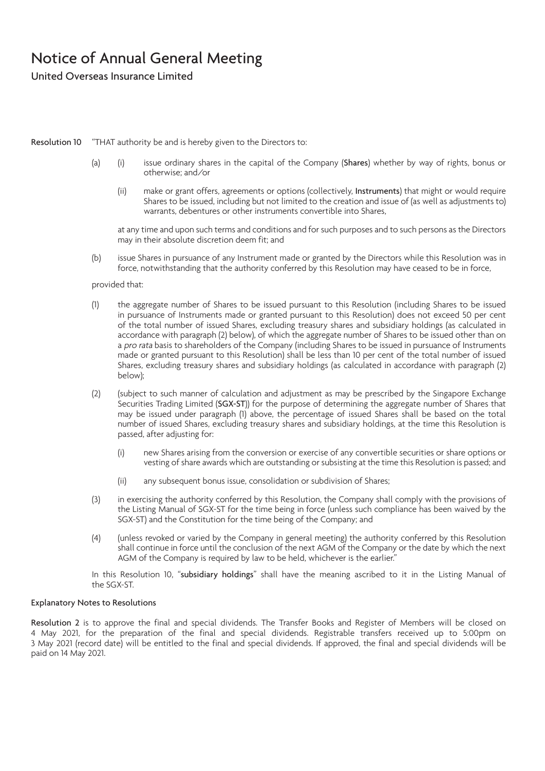United Overseas Insurance Limited

#### Resolution 10 "THAT authority be and is hereby given to the Directors to:

- (a) (i) issue ordinary shares in the capital of the Company (Shares) whether by way of rights, bonus or otherwise; and/or
	- (ii) make or grant offers, agreements or options (collectively, Instruments) that might or would require Shares to be issued, including but not limited to the creation and issue of (as well as adjustments to) warrants, debentures or other instruments convertible into Shares,

at any time and upon such terms and conditions and for such purposes and to such persons as the Directors may in their absolute discretion deem fit; and

(b) issue Shares in pursuance of any Instrument made or granted by the Directors while this Resolution was in force, notwithstanding that the authority conferred by this Resolution may have ceased to be in force,

#### provided that:

- (1) the aggregate number of Shares to be issued pursuant to this Resolution (including Shares to be issued in pursuance of Instruments made or granted pursuant to this Resolution) does not exceed 50 per cent of the total number of issued Shares, excluding treasury shares and subsidiary holdings (as calculated in accordance with paragraph (2) below), of which the aggregate number of Shares to be issued other than on a pro rata basis to shareholders of the Company (including Shares to be issued in pursuance of Instruments made or granted pursuant to this Resolution) shall be less than 10 per cent of the total number of issued Shares, excluding treasury shares and subsidiary holdings (as calculated in accordance with paragraph (2) below);
- (2) (subject to such manner of calculation and adjustment as may be prescribed by the Singapore Exchange Securities Trading Limited (SGX-ST)) for the purpose of determining the aggregate number of Shares that may be issued under paragraph (1) above, the percentage of issued Shares shall be based on the total number of issued Shares, excluding treasury shares and subsidiary holdings, at the time this Resolution is passed, after adjusting for:
	- (i) new Shares arising from the conversion or exercise of any convertible securities or share options or vesting of share awards which are outstanding or subsisting at the time this Resolution is passed; and
	- (ii) any subsequent bonus issue, consolidation or subdivision of Shares;
- (3) in exercising the authority conferred by this Resolution, the Company shall comply with the provisions of the Listing Manual of SGX-ST for the time being in force (unless such compliance has been waived by the SGX-ST) and the Constitution for the time being of the Company; and
- (4) (unless revoked or varied by the Company in general meeting) the authority conferred by this Resolution shall continue in force until the conclusion of the next AGM of the Company or the date by which the next AGM of the Company is required by law to be held, whichever is the earlier."

In this Resolution 10, "subsidiary holdings" shall have the meaning ascribed to it in the Listing Manual of the SGX-ST.

#### Explanatory Notes to Resolutions

Resolution 2 is to approve the final and special dividends. The Transfer Books and Register of Members will be closed on 4 May 2021, for the preparation of the final and special dividends. Registrable transfers received up to 5:00pm on 3 May 2021 (record date) will be entitled to the final and special dividends. If approved, the final and special dividends will be paid on 14 May 2021.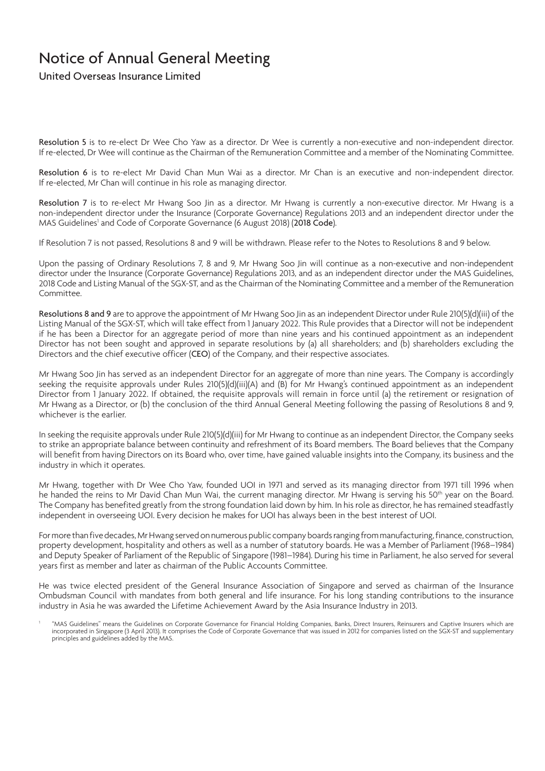United Overseas Insurance Limited

Resolution 5 is to re-elect Dr Wee Cho Yaw as a director. Dr Wee is currently a non-executive and non-independent director. If re-elected, Dr Wee will continue as the Chairman of the Remuneration Committee and a member of the Nominating Committee.

Resolution 6 is to re-elect Mr David Chan Mun Wai as a director. Mr Chan is an executive and non-independent director. If re-elected, Mr Chan will continue in his role as managing director.

Resolution 7 is to re-elect Mr Hwang Soo Jin as a director. Mr Hwang is currently a non-executive director. Mr Hwang is a non-independent director under the Insurance (Corporate Governance) Regulations 2013 and an independent director under the MAS Guidelines<sup>1</sup> and Code of Corporate Governance (6 August 2018) (2018 Code).

If Resolution 7 is not passed, Resolutions 8 and 9 will be withdrawn. Please refer to the Notes to Resolutions 8 and 9 below.

Upon the passing of Ordinary Resolutions 7, 8 and 9, Mr Hwang Soo Jin will continue as a non-executive and non-independent director under the Insurance (Corporate Governance) Regulations 2013, and as an independent director under the MAS Guidelines, 2018 Code and Listing Manual of the SGX-ST, and as the Chairman of the Nominating Committee and a member of the Remuneration Committee.

Resolutions 8 and 9 are to approve the appointment of Mr Hwang Soo Jin as an independent Director under Rule 210(5)(d)(iii) of the Listing Manual of the SGX-ST, which will take effect from 1 January 2022. This Rule provides that a Director will not be independent if he has been a Director for an aggregate period of more than nine years and his continued appointment as an independent Director has not been sought and approved in separate resolutions by (a) all shareholders; and (b) shareholders excluding the Directors and the chief executive officer (CEO) of the Company, and their respective associates.

Mr Hwang Soo Jin has served as an independent Director for an aggregate of more than nine years. The Company is accordingly seeking the requisite approvals under Rules 210(5)(d)(iii)(A) and (B) for Mr Hwang's continued appointment as an independent Director from 1 January 2022. If obtained, the requisite approvals will remain in force until (a) the retirement or resignation of Mr Hwang as a Director, or (b) the conclusion of the third Annual General Meeting following the passing of Resolutions 8 and 9, whichever is the earlier.

In seeking the requisite approvals under Rule 210(5)(d)(iii) for Mr Hwang to continue as an independent Director, the Company seeks to strike an appropriate balance between continuity and refreshment of its Board members. The Board believes that the Company will benefit from having Directors on its Board who, over time, have gained valuable insights into the Company, its business and the industry in which it operates.

Mr Hwang, together with Dr Wee Cho Yaw, founded UOI in 1971 and served as its managing director from 1971 till 1996 when he handed the reins to Mr David Chan Mun Wai, the current managing director. Mr Hwang is serving his 50<sup>th</sup> year on the Board. The Company has benefited greatly from the strong foundation laid down by him. In his role as director, he has remained steadfastly independent in overseeing UOI. Every decision he makes for UOI has always been in the best interest of UOI.

For more than five decades, Mr Hwang served on numerous public company boards ranging from manufacturing, finance, construction, property development, hospitality and others as well as a number of statutory boards. He was a Member of Parliament (1968–1984) and Deputy Speaker of Parliament of the Republic of Singapore (1981–1984). During his time in Parliament, he also served for several years first as member and later as chairman of the Public Accounts Committee.

He was twice elected president of the General Insurance Association of Singapore and served as chairman of the Insurance Ombudsman Council with mandates from both general and life insurance. For his long standing contributions to the insurance industry in Asia he was awarded the Lifetime Achievement Award by the Asia Insurance Industry in 2013.

<sup>&</sup>quot;MAS Guidelines" means the Guidelines on Corporate Governance for Financial Holding Companies, Banks, Direct Insurers, Reinsurers and Captive Insurers which are incorporated in Singapore (3 April 2013). It comprises the Code of Corporate Governance that was issued in 2012 for companies listed on the SGX-ST and supplementary principles and guidelines added by the MAS.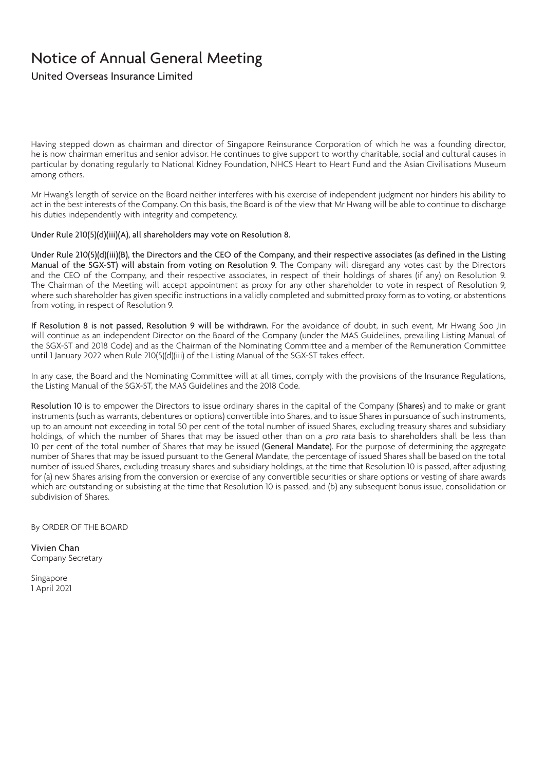United Overseas Insurance Limited

Having stepped down as chairman and director of Singapore Reinsurance Corporation of which he was a founding director, he is now chairman emeritus and senior advisor. He continues to give support to worthy charitable, social and cultural causes in particular by donating regularly to National Kidney Foundation, NHCS Heart to Heart Fund and the Asian Civilisations Museum among others.

Mr Hwang's length of service on the Board neither interferes with his exercise of independent judgment nor hinders his ability to act in the best interests of the Company. On this basis, the Board is of the view that Mr Hwang will be able to continue to discharge his duties independently with integrity and competency.

Under Rule 210(5)(d)(iii)(A), all shareholders may vote on Resolution 8.

Under Rule 210(5)(d)(iii)(B), the Directors and the CEO of the Company, and their respective associates (as defined in the Listing Manual of the SGX-ST) will abstain from voting on Resolution 9. The Company will disregard any votes cast by the Directors and the CEO of the Company, and their respective associates, in respect of their holdings of shares (if any) on Resolution 9. The Chairman of the Meeting will accept appointment as proxy for any other shareholder to vote in respect of Resolution 9, where such shareholder has given specific instructions in a validly completed and submitted proxy form as to voting, or abstentions from voting, in respect of Resolution 9.

If Resolution 8 is not passed, Resolution 9 will be withdrawn. For the avoidance of doubt, in such event, Mr Hwang Soo Jin will continue as an independent Director on the Board of the Company (under the MAS Guidelines, prevailing Listing Manual of the SGX-ST and 2018 Code) and as the Chairman of the Nominating Committee and a member of the Remuneration Committee until 1 January 2022 when Rule 210(5)(d)(iii) of the Listing Manual of the SGX-ST takes effect.

In any case, the Board and the Nominating Committee will at all times, comply with the provisions of the Insurance Regulations, the Listing Manual of the SGX-ST, the MAS Guidelines and the 2018 Code.

Resolution 10 is to empower the Directors to issue ordinary shares in the capital of the Company (Shares) and to make or grant instruments (such as warrants, debentures or options) convertible into Shares, and to issue Shares in pursuance of such instruments, up to an amount not exceeding in total 50 per cent of the total number of issued Shares, excluding treasury shares and subsidiary holdings, of which the number of Shares that may be issued other than on a *pro rata* basis to shareholders shall be less than 10 per cent of the total number of Shares that may be issued (General Mandate). For the purpose of determining the aggregate number of Shares that may be issued pursuant to the General Mandate, the percentage of issued Shares shall be based on the total number of issued Shares, excluding treasury shares and subsidiary holdings, at the time that Resolution 10 is passed, after adjusting for (a) new Shares arising from the conversion or exercise of any convertible securities or share options or vesting of share awards which are outstanding or subsisting at the time that Resolution 10 is passed, and (b) any subsequent bonus issue, consolidation or subdivision of Shares.

By ORDER OF THE BOARD

Vivien Chan Company Secretary

Singapore 1 April 2021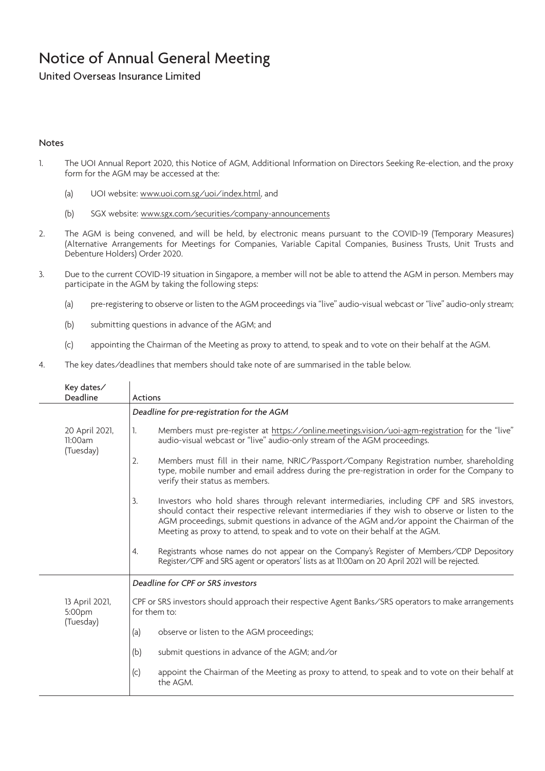United Overseas Insurance Limited

### Notes

- 1. The UOI Annual Report 2020, this Notice of AGM, Additional Information on Directors Seeking Re-election, and the proxy form for the AGM may be accessed at the:
	- (a) UOI website: www.uoi.com.sg/uoi/index.html, and
	- (b) SGX website: www.sgx.com/securities/company-announcements
- 2. The AGM is being convened, and will be held, by electronic means pursuant to the COVID-19 (Temporary Measures) (Alternative Arrangements for Meetings for Companies, Variable Capital Companies, Business Trusts, Unit Trusts and Debenture Holders) Order 2020.
- 3. Due to the current COVID-19 situation in Singapore, a member will not be able to attend the AGM in person. Members may participate in the AGM by taking the following steps:
	- (a) pre-registering to observe or listen to the AGM proceedings via "live" audio-visual webcast or "live" audio-only stream;
	- (b) submitting questions in advance of the AGM; and
	- (c) appointing the Chairman of the Meeting as proxy to attend, to speak and to vote on their behalf at the AGM.
- 4. The key dates/deadlines that members should take note of are summarised in the table below.

| Key dates/<br>Deadline                 | <b>Actions</b>                                                                                                                                                                                                                                                                                                                                                                      |
|----------------------------------------|-------------------------------------------------------------------------------------------------------------------------------------------------------------------------------------------------------------------------------------------------------------------------------------------------------------------------------------------------------------------------------------|
|                                        | Deadline for pre-registration for the AGM                                                                                                                                                                                                                                                                                                                                           |
| 20 April 2021,<br>11:00am<br>(Tuesday) | Members must pre-register at https://online.meetings.vision/uoi-agm-registration for the "live"<br>1.<br>audio-visual webcast or "live" audio-only stream of the AGM proceedings.                                                                                                                                                                                                   |
|                                        | Members must fill in their name, NRIC/Passport/Company Registration number, shareholding<br>2.<br>type, mobile number and email address during the pre-registration in order for the Company to<br>verify their status as members.                                                                                                                                                  |
|                                        | Investors who hold shares through relevant intermediaries, including CPF and SRS investors,<br>3.<br>should contact their respective relevant intermediaries if they wish to observe or listen to the<br>AGM proceedings, submit questions in advance of the AGM and/or appoint the Chairman of the<br>Meeting as proxy to attend, to speak and to vote on their behalf at the AGM. |
|                                        | Registrants whose names do not appear on the Company's Register of Members/CDP Depository<br>4.<br>Register/CPF and SRS agent or operators' lists as at 11:00am on 20 April 2021 will be rejected.                                                                                                                                                                                  |
|                                        | Deadline for CPF or SRS investors                                                                                                                                                                                                                                                                                                                                                   |
| 13 April 2021,<br>5:00pm<br>(Tuesday)  | CPF or SRS investors should approach their respective Agent Banks/SRS operators to make arrangements<br>for them to:                                                                                                                                                                                                                                                                |
|                                        | observe or listen to the AGM proceedings;<br>(a)                                                                                                                                                                                                                                                                                                                                    |
|                                        | (b)<br>submit questions in advance of the AGM; and/or                                                                                                                                                                                                                                                                                                                               |
|                                        | appoint the Chairman of the Meeting as proxy to attend, to speak and to vote on their behalf at<br>(c)<br>the AGM.                                                                                                                                                                                                                                                                  |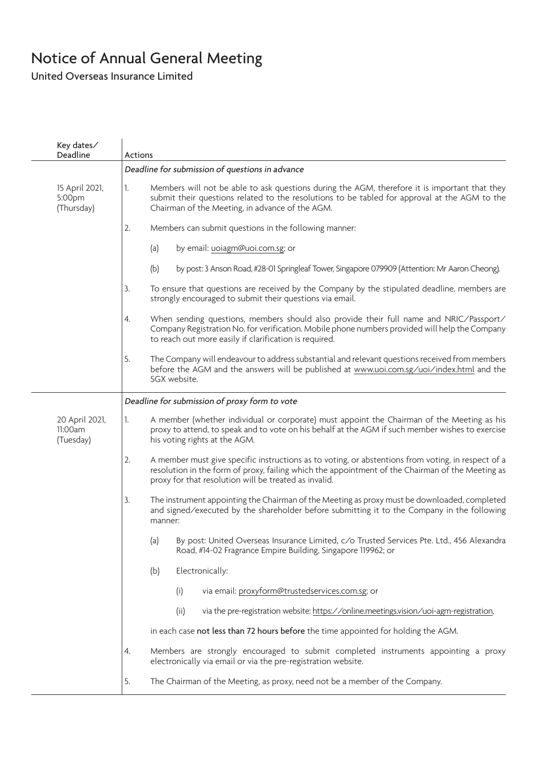United Overseas Insurance Limited

| Key dates/<br>Deadline                 | <b>Actions</b>                                                                                                                                                                                                                                                        |
|----------------------------------------|-----------------------------------------------------------------------------------------------------------------------------------------------------------------------------------------------------------------------------------------------------------------------|
|                                        | Deadline for submission of questions in advance                                                                                                                                                                                                                       |
| 15 April 2021,<br>5:00pm<br>(Thursday) | Members will not be able to ask questions during the AGM, therefore it is important that they<br>1.<br>submit their questions related to the resolutions to be tabled for approval at the AGM to the<br>Chairman of the Meeting, in advance of the AGM.               |
|                                        | 2.<br>Members can submit questions in the following manner:                                                                                                                                                                                                           |
|                                        | by email: uoiagm@uoi.com.sg; or<br>(a)                                                                                                                                                                                                                                |
|                                        | by post: 3 Anson Road, #28-01 Springleaf Tower, Singapore 079909 (Attention: Mr Aaron Cheong).<br>(b)                                                                                                                                                                 |
|                                        | To ensure that questions are received by the Company by the stipulated deadline, members are<br>3.<br>strongly encouraged to submit their questions via email.                                                                                                        |
|                                        | When sending questions, members should also provide their full name and NRIC/Passport/<br>4.<br>Company Registration No. for verification. Mobile phone numbers provided will help the Company<br>to reach out more easily if clarification is required.              |
|                                        | 5.<br>The Company will endeavour to address substantial and relevant questions received from members<br>before the AGM and the answers will be published at www.uoi.com.sg/uoi/index.html and the<br>SGX website.                                                     |
|                                        | Deadline for submission of proxy form to vote                                                                                                                                                                                                                         |
| 20 April 2021,<br>11:00am<br>(Tuesday) | A member (whether individual or corporate) must appoint the Chairman of the Meeting as his<br>1.<br>proxy to attend, to speak and to vote on his behalf at the AGM if such member wishes to exercise<br>his voting rights at the AGM.                                 |
|                                        | 2.<br>A member must give specific instructions as to voting, or abstentions from voting, in respect of a<br>resolution in the form of proxy, failing which the appointment of the Chairman of the Meeting as<br>proxy for that resolution will be treated as invalid. |
|                                        | 3.<br>The instrument appointing the Chairman of the Meeting as proxy must be downloaded, completed<br>and signed/executed by the shareholder before submitting it to the Company in the following<br>manner:                                                          |
|                                        | (a)<br>By post: United Overseas Insurance Limited, c/o Trusted Services Pte. Ltd., 456 Alexandra<br>Road, #14-02 Fragrance Empire Building, Singapore 119962; or                                                                                                      |
|                                        | Electronically:<br>(b)                                                                                                                                                                                                                                                |
|                                        | via email: proxyform@trustedservices.com.sg; or<br>(i)                                                                                                                                                                                                                |
|                                        | (ii)<br>via the pre-registration website: https://online.meetings.vision/uoi-agm-registration,                                                                                                                                                                        |
|                                        | in each case not less than 72 hours before the time appointed for holding the AGM.                                                                                                                                                                                    |
|                                        | Members are strongly encouraged to submit completed instruments appointing a proxy<br>4.<br>electronically via email or via the pre-registration website.                                                                                                             |
|                                        | The Chairman of the Meeting, as proxy, need not be a member of the Company.<br>5.                                                                                                                                                                                     |